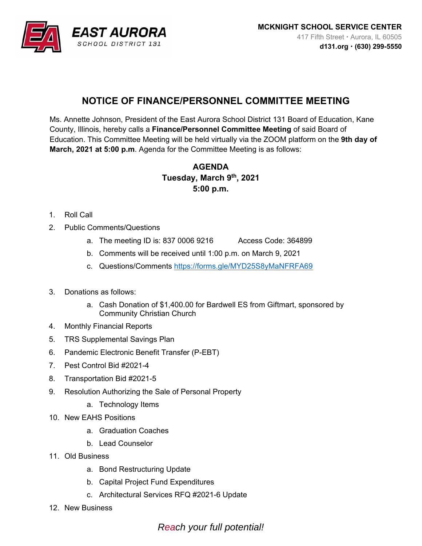

## **NOTICE OF FINANCE/PERSONNEL COMMITTEE MEETING**

Ms. Annette Johnson, President of the East Aurora School District 131 Board of Education, Kane County, Illinois, hereby calls a **Finance/Personnel Committee Meeting** of said Board of Education. This Committee Meeting will be held virtually via the ZOOM platform on the **9th day of March, 2021 at 5:00 p.m**. Agenda for the Committee Meeting is as follows:

## **AGENDA Tuesday, March 9th, 2021 5:00 p.m.**

- 1. Roll Call
- 2. Public Comments/Questions
	- a. The meeting ID is: 837 0006 9216 Access Code: 364899
	- b. Comments will be received until 1:00 p.m. on March 9, 2021
	- c. Questions/Comments https://forms.gle/MYD25S8yMaNFRFA69
- 3. Donations as follows:
	- a. Cash Donation of \$1,400.00 for Bardwell ES from Giftmart, sponsored by Community Christian Church
- 4. Monthly Financial Reports
- 5. TRS Supplemental Savings Plan
- 6. Pandemic Electronic Benefit Transfer (P-EBT)
- 7. Pest Control Bid #2021-4
- 8. Transportation Bid #2021-5
- 9. Resolution Authorizing the Sale of Personal Property
	- a. Technology Items
- 10. New EAHS Positions
	- a. Graduation Coaches
	- b. Lead Counselor
- 11. Old Business
	- a. Bond Restructuring Update
	- b. Capital Project Fund Expenditures
	- c. Architectural Services RFQ #2021-6 Update
- 12. New Business

*Reach your full potential!*